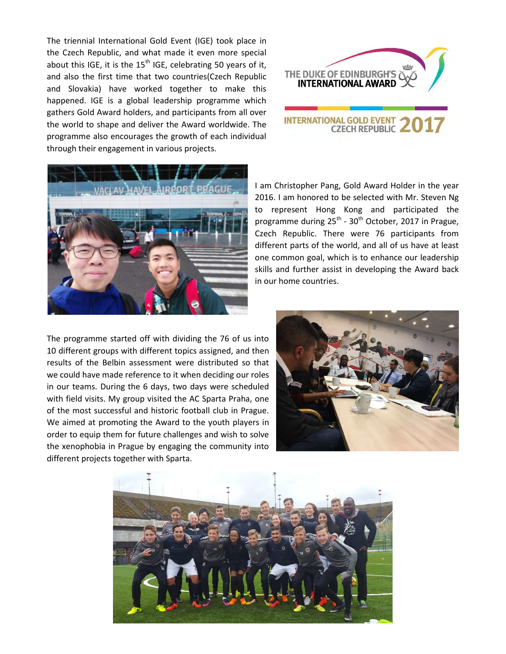The triennial International Gold Event (IGE) took place in the Czech Republic, and what made it even more special about this IGE, it is the  $15<sup>th</sup>$  IGE, celebrating 50 years of it, and also the first time that two countries(Czech Republic and Slovakia) have worked together to make this happened. IGE is a global leadership programme which gathers Gold Award holders, and participants from all over the world to shape and deliver the Award worldwide. The programme also encourages the growth of each individual through their engagement in various projects.





I am Christopher Pang, Gold Award Holder in the year 2016. I am honored to be selected with Mr. Steven Ng to represent Hong Kong and participated the programme during 25<sup>th</sup> - 30<sup>th</sup> October, 2017 in Prague, Czech Republic. There were 76 participants from different parts of the world, and all of us have at least one common goal, which is to enhance our leadership skills and further assist in developing the Award back in our home countries.

The programme started off with dividing the 76 of us into 10 different groups with different topics assigned, and then results of the Belbin assessment were distributed so that we could have made reference to it when deciding our roles in our teams. During the 6 days, two days were scheduled with field visits. My group visited the AC Sparta Praha, one of the most successful and historic football club in Prague. We aimed at promoting the Award to the youth players in order to equip them for future challenges and wish to solve the xenophobia in Prague by engaging the community into different projects together with Sparta.